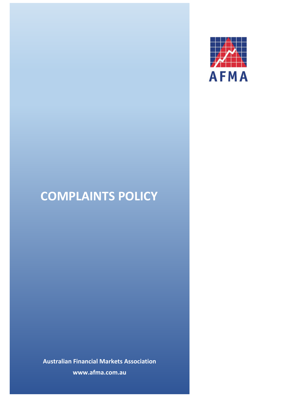

# **COMPLAINTS POLICY**

**Australian Financial Markets Association www.afma.com.au**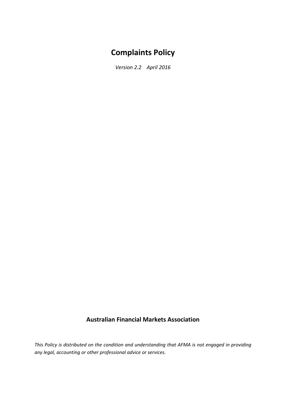# **Complaints Policy**

*Version 2.2 April 2016*

# **Australian Financial Markets Association**

*This Policy is distributed on the condition and understanding that AFMA is not engaged in providing any legal, accounting or other professional advice or services.*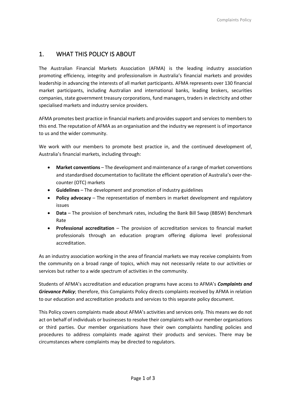# 1. WHAT THIS POLICY IS ABOUT

The Australian Financial Markets Association (AFMA) is the leading industry association promoting efficiency, integrity and professionalism in Australia's financial markets and provides leadership in advancing the interests of all market participants. AFMA represents over 130 financial market participants, including Australian and international banks, leading brokers, securities companies, state government treasury corporations, fund managers, traders in electricity and other specialised markets and industry service providers.

AFMA promotes best practice in financial markets and provides support and services to members to this end. The reputation of AFMA as an organisation and the industry we represent is of importance to us and the wider community.

We work with our members to promote best practice in, and the continued development of, Australia's financial markets, including through:

- **Market conventions** The development and maintenance of a range of market conventions and standardised documentation to facilitate the efficient operation of Australia's over-thecounter (OTC) markets
- **Guidelines** The development and promotion of industry guidelines
- **Policy advocacy** The representation of members in market development and regulatory issues
- **Data** The provision of benchmark rates, including the Bank Bill Swap (BBSW) Benchmark Rate
- **Professional accreditation** The provision of accreditation services to financial market professionals through an education program offering diploma level professional accreditation.

As an industry association working in the area of financial markets we may receive complaints from the community on a broad range of topics, which may not necessarily relate to our activities or services but rather to a wide spectrum of activities in the community.

Students of AFMA's accreditation and education programs have access to AFMA's *Complaints and Grievance Policy*; therefore, this Complaints Policy directs complaints received by AFMA in relation to our education and accreditation products and services to this separate policy document.

This Policy covers complaints made about AFMA's activities and services only. This means we do not act on behalf of individuals or businesses to resolve their complaints with our member organisations or third parties. Our member organisations have their own complaints handling policies and procedures to address complaints made against their products and services. There may be circumstances where complaints may be directed to regulators.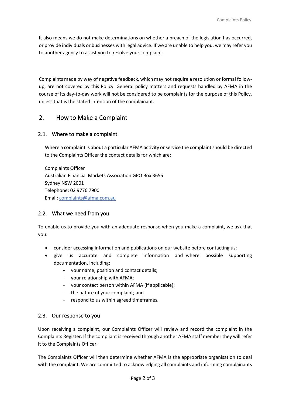It also means we do not make determinations on whether a breach of the legislation has occurred, or provide individuals or businesses with legal advice. If we are unable to help you, we may refer you to another agency to assist you to resolve your complaint.

Complaints made by way of negative feedback, which may not require a resolution or formal followup, are not covered by this Policy. General policy matters and requests handled by AFMA in the course of its day-to-day work will not be considered to be complaints for the purpose of this Policy, unless that is the stated intention of the complainant.

### 2. How to Make a Complaint

#### 2.1. Where to make a complaint

Where a complaint is about a particular AFMA activity or service the complaint should be directed to the Complaints Officer the contact details for which are:

Complaints Officer Australian Financial Markets Association GPO Box 3655 Sydney NSW 2001 Telephone: 02 9776 7900 Email: [complaints@afma.com.au](mailto:complaints@afma.com.au)

#### 2.2. What we need from you

To enable us to provide you with an adequate response when you make a complaint, we ask that you:

- consider accessing information and publications on our website before contacting us;
- give us accurate and complete information and where possible supporting documentation, including:
	- your name, position and contact details;
	- your relationship with AFMA;
	- your contact person within AFMA (if applicable);
	- the nature of your complaint; and
	- respond to us within agreed timeframes.

#### 2.3. Our response to you

Upon receiving a complaint, our Complaints Officer will review and record the complaint in the Complaints Register. If the compliant is received through another AFMA staff member they will refer it to the Complaints Officer.

The Complaints Officer will then determine whether AFMA is the appropriate organisation to deal with the complaint. We are committed to acknowledging all complaints and informing complainants